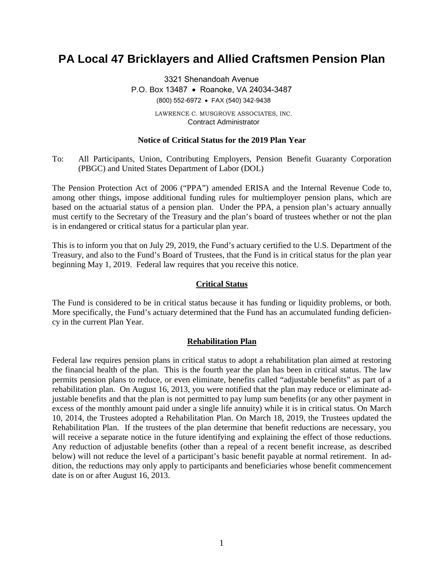# **PA Local 47 Bricklayers and Allied Craftsmen Pension Plan**

3321 Shenandoah Avenue P.O. Box 13487 • Roanoke, VA 24034-3487 (800) 552-6972 • FAX (540) 342-9438 LAWRENCE C. MUSGROVE ASSOCIATES, INC. Contract Administrator

# **Notice of Critical Status for the 2019 Plan Year**

To: All Participants, Union, Contributing Employers, Pension Benefit Guaranty Corporation (PBGC) and United States Department of Labor (DOL)

The Pension Protection Act of 2006 ("PPA") amended ERISA and the Internal Revenue Code to, among other things, impose additional funding rules for multiemployer pension plans, which are based on the actuarial status of a pension plan. Under the PPA, a pension plan's actuary annually must certify to the Secretary of the Treasury and the plan's board of trustees whether or not the plan is in endangered or critical status for a particular plan year.

This is to inform you that on July 29, 2019, the Fund's actuary certified to the U.S. Department of the Treasury, and also to the Fund's Board of Trustees, that the Fund is in critical status for the plan year beginning May 1, 2019. Federal law requires that you receive this notice.

#### **Critical Status**

The Fund is considered to be in critical status because it has funding or liquidity problems, or both. More specifically, the Fund's actuary determined that the Fund has an accumulated funding deficiency in the current Plan Year.

#### **Rehabilitation Plan**

Federal law requires pension plans in critical status to adopt a rehabilitation plan aimed at restoring the financial health of the plan. This is the fourth year the plan has been in critical status. The law permits pension plans to reduce, or even eliminate, benefits called "adjustable benefits" as part of a rehabilitation plan. On August 16, 2013, you were notified that the plan may reduce or eliminate adjustable benefits and that the plan is not permitted to pay lump sum benefits (or any other payment in excess of the monthly amount paid under a single life annuity) while it is in critical status. On March 10, 2014, the Trustees adopted a Rehabilitation Plan. On March 18, 2019, the Trustees updated the Rehabilitation Plan. If the trustees of the plan determine that benefit reductions are necessary, you will receive a separate notice in the future identifying and explaining the effect of those reductions. Any reduction of adjustable benefits (other than a repeal of a recent benefit increase, as described below) will not reduce the level of a participant's basic benefit payable at normal retirement. In addition, the reductions may only apply to participants and beneficiaries whose benefit commencement date is on or after August 16, 2013.